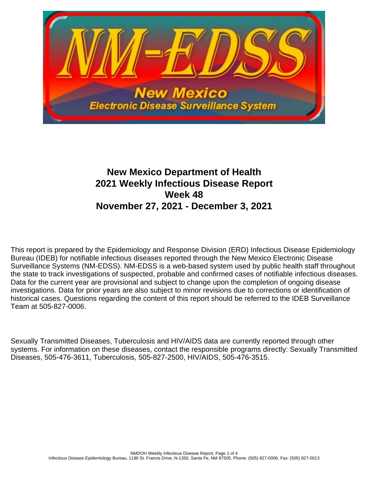

# **New Mexico Department of Health 2021 Weekly Infectious Disease Report Week 48 November 27, 2021 - December 3, 2021**

This report is prepared by the Epidemiology and Response Division (ERD) Infectious Disease Epidemiology Bureau (IDEB) for notifiable infectious diseases reported through the New Mexico Electronic Disease Surveillance Systems (NM-EDSS). NM-EDSS is a web-based system used by public health staff throughout the state to track investigations of suspected, probable and confirmed cases of notifiable infectious diseases. Data for the current year are provisional and subject to change upon the completion of ongoing disease investigations. Data for prior years are also subject to minor revisions due to corrections or identification of historical cases. Questions regarding the content of this report should be referred to the IDEB Surveillance Team at 505-827-0006.

Sexually Transmitted Diseases, Tuberculosis and HIV/AIDS data are currently reported through other systems. For information on these diseases, contact the responsible programs directly: Sexually Transmitted Diseases, 505-476-3611, Tuberculosis, 505-827-2500, HIV/AIDS, 505-476-3515.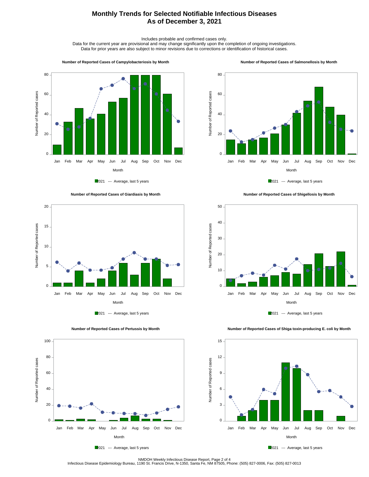## **Monthly Trends for Selected Notifiable Infectious Diseases As of December 3, 2021**

Includes probable and confirmed cases only.

Data for the current year are provisional and may change significantly upon the completion of ongoing investigations. Data for prior years are also subject to minor revisions due to corrections or identification of historical cases.

#### **Number of Reported Cases of Campylobacteriosis by Month**



2021 --- Average, last 5 years





 **Number of Reported Cases of Pertussis by Month**



 **Number of Reported Cases of Salmonellosis by Month**









 **Number of Reported Cases of Shiga toxin-producing E. coli by Month**

100 80 Number of Reported cases Number of Reported cases 60 40 20  $0 -$ Jan Feb Mar Apr May Jun Jul Aug Sep Oct Nov Dec Month

2021 --- Average, last 5 years

NMDOH Weekly Infectious Disease Report, Page 2 of 4<br>Infectious Disease Epidemiology Bureau, 1190 St. Francis Drive, N-1350, Santa Fe, NM 87505, Phone: (505) 827-0006, Fax: (505) 827-0013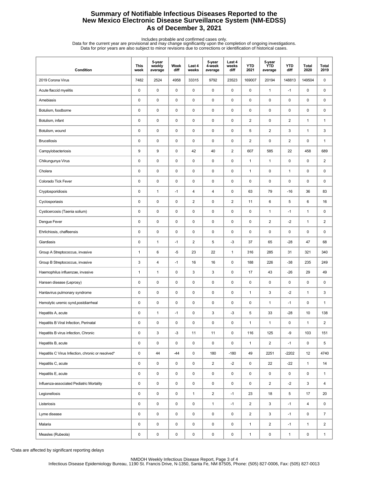## **Summary of Notifiable Infectious Diseases Reported to the New Mexico Electronic Disease Surveillance System (NM-EDSS) As of December 3, 2021**

Includes probable and confirmed cases only.<br>Data for the current year are provisional and may change significantly upon the completion of ongoing investigations.<br>Data for prior years are also subject to minor revisions due

| Condition                                         | <b>This</b><br>week | 5-year<br>weekly<br>average | Week<br>diff | Last 4<br>weeks | 5-year<br>4-week<br>average | Last 4<br>weeks<br>diff | <b>YTD</b><br>2021 | 5-year<br><b>YTD</b><br>average | <b>YTD</b><br>diff | Total<br>2020 | Total<br>2019  |
|---------------------------------------------------|---------------------|-----------------------------|--------------|-----------------|-----------------------------|-------------------------|--------------------|---------------------------------|--------------------|---------------|----------------|
| 2019 Corona Virus                                 | 7482                | 2524                        | 4958         | 33315           | 9792                        | 23523                   | 169007             | 20194                           | 148813             | 149504        | 0              |
| Acute flaccid myelitis                            | 0                   | $\pmb{0}$                   | $\mathsf 0$  | $\mathbf 0$     | $\mathsf 0$                 | $\mathsf 0$             | $\pmb{0}$          | $\mathbf{1}$                    | $-1$               | 0             | 0              |
| Amebiasis                                         | 0                   | $\pmb{0}$                   | 0            | $\mathbf 0$     | 0                           | 0                       | 0                  | $\pmb{0}$                       | 0                  | 0             | 0              |
| Botulism, foodborne                               | 0                   | $\mathbf 0$                 | 0            | $\mathbf 0$     | $\pmb{0}$                   | 0                       | 0                  | 0                               | 0                  | 0             | 0              |
| Botulism, infant                                  | 0                   | $\pmb{0}$                   | 0            | $\mathbf 0$     | $\pmb{0}$                   | $\mathsf 0$             | $\overline{2}$     | $\pmb{0}$                       | $\overline{2}$     | $\mathbf{1}$  | $\mathbf{1}$   |
| Botulism, wound                                   | 0                   | $\pmb{0}$                   | 0            | $\mathbf 0$     | $\pmb{0}$                   | $\mathsf 0$             | 5                  | $\overline{2}$                  | 3                  | $\mathbf{1}$  | 3              |
| <b>Brucellosis</b>                                | 0                   | $\pmb{0}$                   | $\mathsf 0$  | $\mathbf 0$     | $\pmb{0}$                   | $\mathsf 0$             | $\boldsymbol{2}$   | 0                               | 2                  | 0             | $\mathbf{1}$   |
| Campylobacteriosis                                | 9                   | 9                           | 0            | 42              | 40                          | $\overline{2}$          | 607                | 585                             | 22                 | 458           | 689            |
| Chikungunya Virus                                 | 0                   | $\mathbf 0$                 | 0            | $\mathbf 0$     | $\pmb{0}$                   | 0                       | $\mathbf{1}$       | $\mathbf{1}$                    | 0                  | 0             | 2              |
| Cholera                                           | 0                   | $\pmb{0}$                   | 0            | $\mathbf 0$     | $\pmb{0}$                   | $\mathsf 0$             | $\mathbf{1}$       | $\pmb{0}$                       | $\mathbf{1}$       | 0             | 0              |
| Colorado Tick Fever                               | 0                   | $\pmb{0}$                   | 0            | $\mathbf 0$     | $\pmb{0}$                   | $\mathsf 0$             | 0                  | $\pmb{0}$                       | 0                  | 0             | 0              |
| Cryptosporidiosis                                 | 0                   | $\mathbf{1}$                | $-1$         | 4               | 4                           | $\mathsf 0$             | 63                 | 79                              | $-16$              | 36            | 83             |
| Cyclosporiasis                                    | 0                   | $\pmb{0}$                   | 0            | $\overline{c}$  | 0                           | $\overline{2}$          | 11                 | 6                               | 5                  | 6             | 16             |
| Cysticercosis (Taenia solium)                     | 0                   | $\mathbf 0$                 | 0            | $\mathbf 0$     | $\pmb{0}$                   | 0                       | 0                  | $\mathbf{1}$                    | $-1$               | $\mathbf{1}$  | 0              |
| Dengue Fever                                      | 0                   | $\pmb{0}$                   | 0            | $\mathbf 0$     | $\pmb{0}$                   | 0                       | 0                  | $\overline{c}$                  | $-2$               | $\mathbf{1}$  | $\overline{c}$ |
| Ehrlichiosis, chaffeensis                         | 0                   | $\pmb{0}$                   | 0            | $\mathbf 0$     | $\pmb{0}$                   | 0                       | 0                  | $\pmb{0}$                       | 0                  | 0             | 0              |
| Giardiasis                                        | 0                   | $\mathbf{1}$                | $-1$         | $\sqrt{2}$      | 5                           | $-3$                    | 37                 | 65                              | $-28$              | 47            | 68             |
| Group A Streptococcus, invasive                   | $\mathbf{1}$        | 6                           | $-5$         | 23              | 22                          | $\mathbf{1}$            | 316                | 285                             | 31                 | 321           | 340            |
| Group B Streptococcus, invasive                   | 3                   | 4                           | $-1$         | 16              | 16                          | 0                       | 188                | 226                             | $-38$              | 235           | 249            |
| Haemophilus influenzae, invasive                  | $\mathbf{1}$        | $\mathbf{1}$                | 0            | 3               | 3                           | 0                       | 17                 | 43                              | $-26$              | 29            | 49             |
| Hansen disease (Leprosy)                          | 0                   | $\mathbf 0$                 | 0            | $\mathbf 0$     | 0                           | $\mathsf 0$             | 0                  | $\pmb{0}$                       | 0                  | 0             | 0              |
| Hantavirus pulmonary syndrome                     | $\pmb{0}$           | $\pmb{0}$                   | $\mathsf 0$  | $\pmb{0}$       | $\pmb{0}$                   | $\mathsf 0$             | $\mathbf{1}$       | 3                               | $-2$               | $\mathbf{1}$  | 3              |
| Hemolytic uremic synd, postdiarrheal              | 0                   | $\mathbf 0$                 | 0            | $\mathbf 0$     | 0                           | 0                       | 0                  | $\mathbf{1}$                    | $-1$               | 0             | $\mathbf{1}$   |
| Hepatitis A, acute                                | 0                   | $\mathbf{1}$                | $-1$         | $\mathbf 0$     | 3                           | -3                      | 5                  | 33                              | $-28$              | 10            | 138            |
| Hepatitis B Viral Infection, Perinatal            | 0                   | $\mathbf 0$                 | $\pmb{0}$    | $\mathbf 0$     | 0                           | 0                       | $\mathbf{1}$       | $\mathbf{1}$                    | 0                  | $\mathbf{1}$  | $\overline{2}$ |
| Hepatitis B virus infection, Chronic              | 0                   | $\mathsf 3$                 | $-3$         | 11              | 11                          | $\mathsf 0$             | 116                | 125                             | -9                 | 103           | 151            |
| Hepatitis B, acute                                | 0                   | $\pmb{0}$                   | $\pmb{0}$    | $\mathsf 0$     | 0                           | $\pmb{0}$               | $\mathbf{1}$       | $\overline{\mathbf{c}}$         | $-1$               | 0             | 5              |
| Hepatitis C Virus Infection, chronic or resolved* | 0                   | 44                          | $-44$        | $\mathsf 0$     | 180                         | $-180$                  | 49                 | 2251                            | $-2202$            | 12            | 4740           |
| Hepatitis C, acute                                | 0                   | $\pmb{0}$                   | 0            | 0               | $\overline{2}$              | $-2$                    | 0                  | 22                              | $-22$              | $\mathbf{1}$  | 14             |
| Hepatitis E, acute                                | 0                   | $\pmb{0}$                   | 0            | 0               | 0                           | 0                       | 0                  | 0                               | 0                  | 0             | $\mathbf{1}$   |
| Influenza-associated Pediatric Mortality          | 0                   | $\pmb{0}$                   | $\mathsf 0$  | $\mathsf 0$     | 0                           | $\mathsf 0$             | 0                  | $\overline{a}$                  | $-2$               | 3             | 4              |
| Legionellosis                                     | 0                   | $\pmb{0}$                   | $\pmb{0}$    | $\mathbf{1}$    | $\overline{2}$              | $-1$                    | 23                 | 18                              | 5                  | 17            | 20             |
| Listeriosis                                       | 0                   | $\pmb{0}$                   | $\pmb{0}$    | $\pmb{0}$       | $\mathbf{1}$                | $-1$                    | $\overline{2}$     | 3                               | $-1$               | 4             | 0              |
| Lyme disease                                      | 0                   | $\pmb{0}$                   | 0            | $\pmb{0}$       | $\mathsf 0$                 | 0                       | $\overline{2}$     | 3                               | $-1$               | 0             | $\overline{7}$ |
| Malaria                                           | 0                   | $\pmb{0}$                   | 0            | 0               | 0                           | 0                       | $\mathbf{1}$       | $\overline{2}$                  | $-1$               | $\mathbf{1}$  | $\overline{2}$ |
| Measles (Rubeola)                                 | 0                   | $\pmb{0}$                   | 0            | $\pmb{0}$       | 0                           | $\pmb{0}$               | $\mathbf{1}$       | 0                               | $\mathbf{1}$       | 0             | $\mathbf{1}$   |

\*Data are affected by significant reporting delays